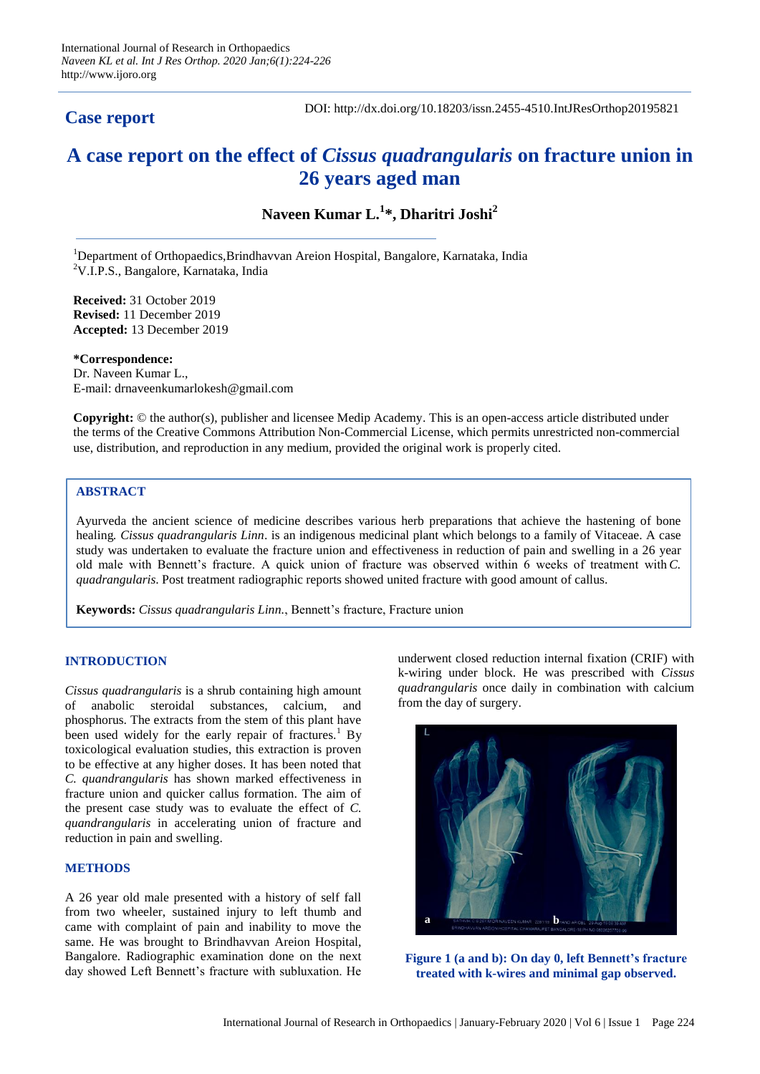## **Case report**

DOI: http://dx.doi.org/10.18203/issn.2455-4510.IntJResOrthop20195821

# **A case report on the effect of** *Cissus quadrangularis* **on fracture union in 26 years aged man**

**Naveen Kumar L.<sup>1</sup> \*, Dharitri Joshi<sup>2</sup>**

<sup>1</sup>Department of Orthopaedics,Brindhavvan Areion Hospital, Bangalore, Karnataka, India <sup>2</sup>V.I.P.S., Bangalore, Karnataka, India

**Received:** 31 October 2019 **Revised:** 11 December 2019 **Accepted:** 13 December 2019

**\*Correspondence:** Dr. Naveen Kumar L., E-mail: drnaveenkumarlokesh@gmail.com

**Copyright:** © the author(s), publisher and licensee Medip Academy. This is an open-access article distributed under the terms of the Creative Commons Attribution Non-Commercial License, which permits unrestricted non-commercial use, distribution, and reproduction in any medium, provided the original work is properly cited.

## **ABSTRACT**

Ayurveda the ancient science of medicine describes various herb preparations that achieve the hastening of bone healing*. Cissus quadrangularis Linn*. is an indigenous medicinal plant which belongs to a family of Vitaceae. A case study was undertaken to evaluate the fracture union and effectiveness in reduction of pain and swelling in a 26 year old male with Bennett's fracture. A quick union of fracture was observed within 6 weeks of treatment with *C. quadrangularis*. Post treatment radiographic reports showed united fracture with good amount of callus.

**Keywords:** *Cissus quadrangularis Linn.*, Bennett's fracture, Fracture union

## **INTRODUCTION**

*Cissus quadrangularis* is a shrub containing high amount of anabolic steroidal substances, calcium, and phosphorus. The extracts from the stem of this plant have been used widely for the early repair of fractures.<sup>1</sup> By toxicological evaluation studies, this extraction is proven to be effective at any higher doses. It has been noted that *C. quandrangularis* has shown marked effectiveness in fracture union and quicker callus formation. The aim of the present case study was to evaluate the effect of *C. quandrangularis* in accelerating union of fracture and reduction in pain and swelling.

#### **METHODS**

A 26 year old male presented with a history of self fall from two wheeler, sustained injury to left thumb and came with complaint of pain and inability to move the same. He was brought to Brindhavvan Areion Hospital, Bangalore. Radiographic examination done on the next day showed Left Bennett's fracture with subluxation. He underwent closed reduction internal fixation (CRIF) with k-wiring under block. He was prescribed with *Cissus quadrangularis* once daily in combination with calcium from the day of surgery.



**Figure 1 (a and b): On day 0, left Bennett's fracture treated with k-wires and minimal gap observed.**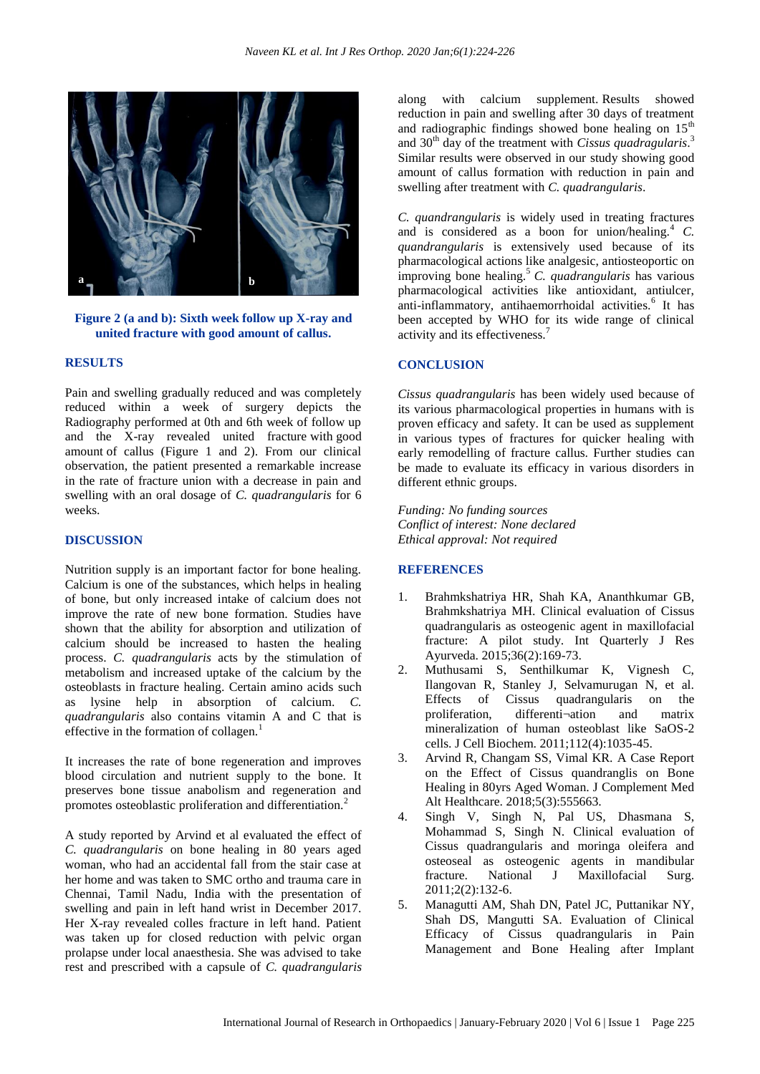

**Figure 2 (a and b): Sixth week follow up X-ray and united fracture with good amount of callus.**

## **RESULTS**

Pain and swelling gradually reduced and was completely reduced within a week of surgery depicts the Radiography performed at 0th and 6th week of follow up and the X-ray revealed united fracture with good amount of callus (Figure 1 and 2). From our clinical observation, the patient presented a remarkable increase in the rate of fracture union with a decrease in pain and swelling with an oral dosage of *C. quadrangularis* for 6 weeks.

#### **DISCUSSION**

Nutrition supply is an important factor for bone healing. Calcium is one of the substances, which helps in healing of bone, but only increased intake of calcium does not improve the rate of new bone formation. Studies have shown that the ability for absorption and utilization of calcium should be increased to hasten the healing process. *C. quadrangularis* acts by the stimulation of metabolism and increased uptake of the calcium by the osteoblasts in fracture healing. Certain amino acids such as lysine help in absorption of calcium. *C. quadrangularis* also contains vitamin A and C that is effective in the formation of collagen.<sup>1</sup>

It increases the rate of bone regeneration and improves blood circulation and nutrient supply to the bone. It preserves bone tissue anabolism and regeneration and promotes osteoblastic proliferation and differentiation.<sup>2</sup>

A study reported by Arvind et al evaluated the effect of *C. quadrangularis* on bone healing in 80 years aged woman, who had an accidental fall from the stair case at her home and was taken to SMC ortho and trauma care in Chennai, Tamil Nadu, India with the presentation of swelling and pain in left hand wrist in December 2017. Her X-ray revealed colles fracture in left hand. Patient was taken up for closed reduction with pelvic organ prolapse under local anaesthesia. She was advised to take rest and prescribed with a capsule of *C. quadrangularis*

along with calcium supplement. Results showed reduction in pain and swelling after 30 days of treatment and radiographic findings showed bone healing on  $15<sup>th</sup>$ and 30<sup>th</sup> day of the treatment with *Cissus quadragularis*.<sup>3</sup> Similar results were observed in our study showing good amount of callus formation with reduction in pain and swelling after treatment with *C. quadrangularis*.

*C. quandrangularis* is widely used in treating fractures and is considered as a boon for union/healing.<sup>4</sup> C. *quandrangularis* is extensively used because of its pharmacological actions like analgesic, antiosteoportic on improving bone healing.<sup>5</sup>*C. quadrangularis* has various pharmacological activities like antioxidant, antiulcer, anti-inflammatory, antihaemorrhoidal activities.<sup>6</sup> It has been accepted by WHO for its wide range of clinical activity and its effectiveness.<sup>7</sup>

#### **CONCLUSION**

*Cissus quadrangularis* has been widely used because of its various pharmacological properties in humans with is proven efficacy and safety. It can be used as supplement in various types of fractures for quicker healing with early remodelling of fracture callus. Further studies can be made to evaluate its efficacy in various disorders in different ethnic groups.

*Funding: No funding sources Conflict of interest: None declared Ethical approval: Not required*

## **REFERENCES**

- 1. Brahmkshatriya HR, Shah KA, Ananthkumar GB, Brahmkshatriya MH. Clinical evaluation of Cissus quadrangularis as osteogenic agent in maxillofacial fracture: A pilot study. Int Quarterly J Res Ayurveda. 2015;36(2):169-73.
- 2. Muthusami S, Senthilkumar K, Vignesh C, Ilangovan R, Stanley J, Selvamurugan N, et al. Effects of Cissus quadrangularis on the proliferation, differenti¬ation and matrix mineralization of human osteoblast like SaOS-2 cells. J Cell Biochem. 2011;112(4):1035-45.
- 3. Arvind R, Changam SS, Vimal KR. A Case Report on the Effect of Cissus quandranglis on Bone Healing in 80yrs Aged Woman. J Complement Med Alt Healthcare. 2018;5(3):555663.
- 4. Singh V, Singh N, Pal US, Dhasmana S, Mohammad S, Singh N. Clinical evaluation of Cissus quadrangularis and moringa oleifera and osteoseal as osteogenic agents in mandibular<br>fracture. National J Maxillofacial Surg. fracture. National J Maxillofacial Surg. 2011;2(2):132-6.
- 5. Managutti AM, Shah DN, Patel JC, Puttanikar NY, Shah DS, Mangutti SA. Evaluation of Clinical Efficacy of Cissus quadrangularis in Pain Management and Bone Healing after Implant